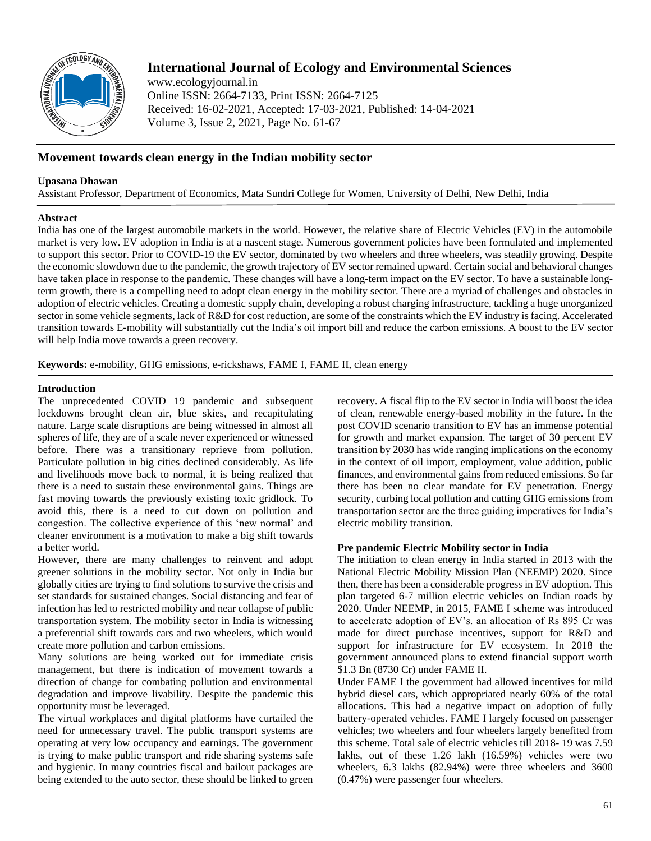

# **International Journal of Ecology and Environmental Sciences**

www.ecologyjournal.in Online ISSN: 2664-7133, Print ISSN: 2664-7125 Received: 16-02-2021, Accepted: 17-03-2021, Published: 14-04-2021 Volume 3, Issue 2, 2021, Page No. 61-67

## **Movement towards clean energy in the Indian mobility sector**

### **Upasana Dhawan**

Assistant Professor, Department of Economics, Mata Sundri College for Women, University of Delhi, New Delhi, India

### **Abstract**

India has one of the largest automobile markets in the world. However, the relative share of Electric Vehicles (EV) in the automobile market is very low. EV adoption in India is at a nascent stage. Numerous government policies have been formulated and implemented to support this sector. Prior to COVID-19 the EV sector, dominated by two wheelers and three wheelers, was steadily growing. Despite the economic slowdown due to the pandemic, the growth trajectory of EV sector remained upward. Certain social and behavioral changes have taken place in response to the pandemic. These changes will have a long-term impact on the EV sector. To have a sustainable longterm growth, there is a compelling need to adopt clean energy in the mobility sector. There are a myriad of challenges and obstacles in adoption of electric vehicles. Creating a domestic supply chain, developing a robust charging infrastructure, tackling a huge unorganized sector in some vehicle segments, lack of R&D for cost reduction, are some of the constraints which the EV industry is facing. Accelerated transition towards E-mobility will substantially cut the India's oil import bill and reduce the carbon emissions. A boost to the EV sector will help India move towards a green recovery.

**Keywords:** e-mobility, GHG emissions, e-rickshaws, FAME I, FAME II, clean energy

### **Introduction**

The unprecedented COVID 19 pandemic and subsequent lockdowns brought clean air, blue skies, and recapitulating nature. Large scale disruptions are being witnessed in almost all spheres of life, they are of a scale never experienced or witnessed before. There was a transitionary reprieve from pollution. Particulate pollution in big cities declined considerably. As life and livelihoods move back to normal, it is being realized that there is a need to sustain these environmental gains. Things are fast moving towards the previously existing toxic gridlock. To avoid this, there is a need to cut down on pollution and congestion. The collective experience of this 'new normal' and cleaner environment is a motivation to make a big shift towards a better world.

However, there are many challenges to reinvent and adopt greener solutions in the mobility sector. Not only in India but globally cities are trying to find solutions to survive the crisis and set standards for sustained changes. Social distancing and fear of infection has led to restricted mobility and near collapse of public transportation system. The mobility sector in India is witnessing a preferential shift towards cars and two wheelers, which would create more pollution and carbon emissions.

Many solutions are being worked out for immediate crisis management, but there is indication of movement towards a direction of change for combating pollution and environmental degradation and improve livability. Despite the pandemic this opportunity must be leveraged.

The virtual workplaces and digital platforms have curtailed the need for unnecessary travel. The public transport systems are operating at very low occupancy and earnings. The government is trying to make public transport and ride sharing systems safe and hygienic. In many countries fiscal and bailout packages are being extended to the auto sector, these should be linked to green recovery. A fiscal flip to the EV sector in India will boost the idea of clean, renewable energy-based mobility in the future. In the post COVID scenario transition to EV has an immense potential for growth and market expansion. The target of 30 percent EV transition by 2030 has wide ranging implications on the economy in the context of oil import, employment, value addition, public finances, and environmental gains from reduced emissions. So far there has been no clear mandate for EV penetration. Energy security, curbing local pollution and cutting GHG emissions from transportation sector are the three guiding imperatives for India's electric mobility transition.

### **Pre pandemic Electric Mobility sector in India**

The initiation to clean energy in India started in 2013 with the National Electric Mobility Mission Plan (NEEMP) 2020. Since then, there has been a considerable progress in EV adoption. This plan targeted 6-7 million electric vehicles on Indian roads by 2020. Under NEEMP, in 2015, FAME I scheme was introduced to accelerate adoption of EV's. an allocation of Rs 895 Cr was made for direct purchase incentives, support for R&D and support for infrastructure for EV ecosystem. In 2018 the government announced plans to extend financial support worth \$1.3 Bn (8730 Cr) under FAME II.

Under FAME I the government had allowed incentives for mild hybrid diesel cars, which appropriated nearly 60% of the total allocations. This had a negative impact on adoption of fully battery-operated vehicles. FAME I largely focused on passenger vehicles; two wheelers and four wheelers largely benefited from this scheme. Total sale of electric vehicles till 2018- 19 was 7.59 lakhs, out of these 1.26 lakh (16.59%) vehicles were two wheelers, 6.3 lakhs (82.94%) were three wheelers and 3600 (0.47%) were passenger four wheelers.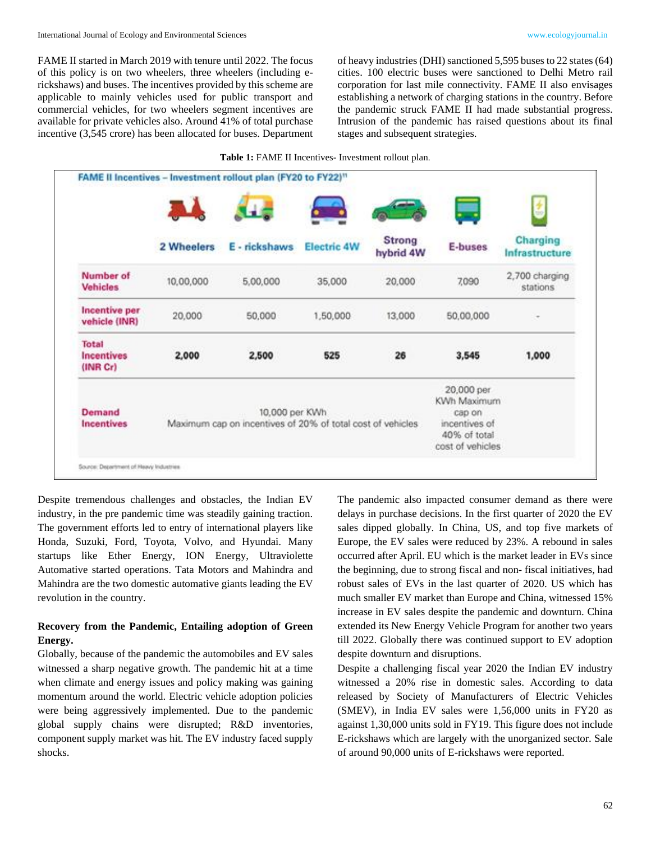FAME II started in March 2019 with tenure until 2022. The focus of this policy is on two wheelers, three wheelers (including erickshaws) and buses. The incentives provided by this scheme are applicable to mainly vehicles used for public transport and commercial vehicles, for two wheelers segment incentives are available for private vehicles also. Around 41% of total purchase incentive (3,545 crore) has been allocated for buses. Department

of heavy industries (DHI) sanctioned 5,595 buses to 22 states (64) cities. 100 electric buses were sanctioned to Delhi Metro rail corporation for last mile connectivity. FAME II also envisages establishing a network of charging stations in the country. Before the pandemic struck FAME II had made substantial progress. Intrusion of the pandemic has raised questions about its final stages and subsequent strategies.

|                                        | 2 Wheelers | E - rickshaws                                                                | <b>Electric 4W</b> | <b>Strong</b><br>hybrid 4W | E-buses                                                                                  | Charging<br>Infrastructure |
|----------------------------------------|------------|------------------------------------------------------------------------------|--------------------|----------------------------|------------------------------------------------------------------------------------------|----------------------------|
| Number of<br><b>Vehicles</b>           | 10,00,000  | 5,00,000                                                                     | 35,000             | 20,000                     | 7,090                                                                                    | 2,700 charging<br>stations |
| Incentive per<br>vehicle (INR)         | 20,000     | 50,000                                                                       | 1,50,000           | 13,000                     | 50,00,000                                                                                | $\scriptstyle\rm{m}$       |
| Total<br><b>Incentives</b><br>(INR Cr) | 2,000      | 2,500                                                                        | 525                | 26                         | 3,545                                                                                    | 1,000                      |
| Demand<br><b>Incentives</b>            |            | 10,000 per KWh<br>Maximum cap on incentives of 20% of total cost of vehicles |                    |                            | 20,000 per<br>KWh Maximum<br>cap on<br>incentives of<br>40% of total<br>cost of vehicles |                            |

#### **Table 1:** FAME II Incentives- Investment rollout plan.

Despite tremendous challenges and obstacles, the Indian EV industry, in the pre pandemic time was steadily gaining traction. The government efforts led to entry of international players like Honda, Suzuki, Ford, Toyota, Volvo, and Hyundai. Many startups like Ether Energy, ION Energy, Ultraviolette Automative started operations. Tata Motors and Mahindra and Mahindra are the two domestic automative giants leading the EV revolution in the country.

### **Recovery from the Pandemic, Entailing adoption of Green Energy.**

Globally, because of the pandemic the automobiles and EV sales witnessed a sharp negative growth. The pandemic hit at a time when climate and energy issues and policy making was gaining momentum around the world. Electric vehicle adoption policies were being aggressively implemented. Due to the pandemic global supply chains were disrupted; R&D inventories, component supply market was hit. The EV industry faced supply shocks.

The pandemic also impacted consumer demand as there were delays in purchase decisions. In the first quarter of 2020 the EV sales dipped globally. In China, US, and top five markets of Europe, the EV sales were reduced by 23%. A rebound in sales occurred after April. EU which is the market leader in EVs since the beginning, due to strong fiscal and non- fiscal initiatives, had robust sales of EVs in the last quarter of 2020. US which has much smaller EV market than Europe and China, witnessed 15% increase in EV sales despite the pandemic and downturn. China extended its New Energy Vehicle Program for another two years till 2022. Globally there was continued support to EV adoption despite downturn and disruptions.

Despite a challenging fiscal year 2020 the Indian EV industry witnessed a 20% rise in domestic sales. According to data released by Society of Manufacturers of Electric Vehicles (SMEV), in India EV sales were 1,56,000 units in FY20 as against 1,30,000 units sold in FY19. This figure does not include E-rickshaws which are largely with the unorganized sector. Sale of around 90,000 units of E-rickshaws were reported.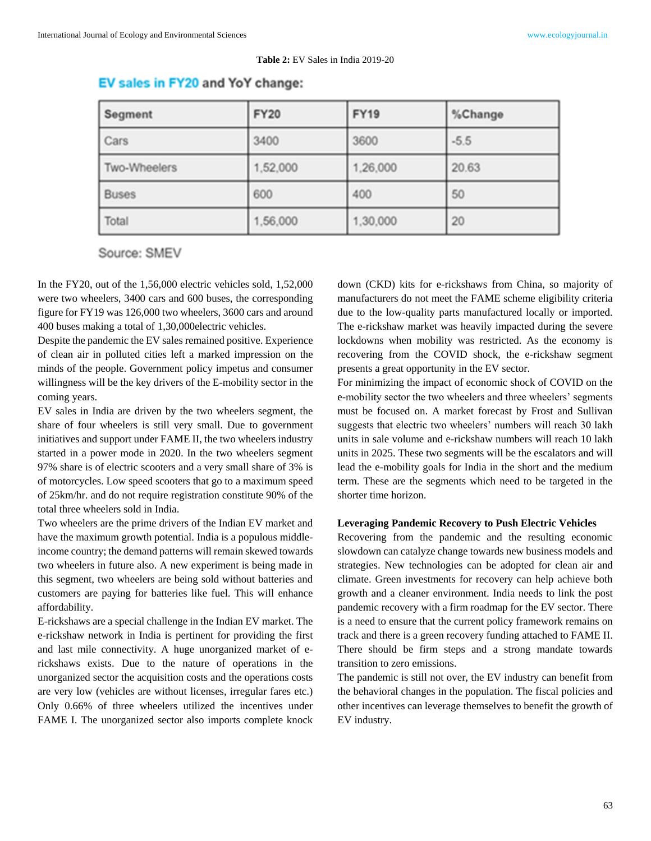#### **Table 2:** EV Sales in India 2019-20

### EV sales in FY20 and YoY change:

| Segment      | <b>FY20</b> | <b>FY19</b> | %Change |
|--------------|-------------|-------------|---------|
| Cars         | 3400        | 3600        | $-5.5$  |
| Two-Wheelers | 1,52,000    | 1,26,000    | 20.63   |
| <b>Buses</b> | 600         | 400         | 50      |
| Total        | 1,56,000    | 1,30,000    | 20      |

Source: SMEV

In the FY20, out of the 1,56,000 electric vehicles sold, 1,52,000 were two wheelers, 3400 cars and 600 buses, the corresponding figure for FY19 was 126,000 two wheelers, 3600 cars and around 400 buses making a total of 1,30,000electric vehicles.

Despite the pandemic the EV sales remained positive. Experience of clean air in polluted cities left a marked impression on the minds of the people. Government policy impetus and consumer willingness will be the key drivers of the E-mobility sector in the coming years.

EV sales in India are driven by the two wheelers segment, the share of four wheelers is still very small. Due to government initiatives and support under FAME II, the two wheelers industry started in a power mode in 2020. In the two wheelers segment 97% share is of electric scooters and a very small share of 3% is of motorcycles. Low speed scooters that go to a maximum speed of 25km/hr. and do not require registration constitute 90% of the total three wheelers sold in India.

Two wheelers are the prime drivers of the Indian EV market and have the maximum growth potential. India is a populous middleincome country; the demand patterns will remain skewed towards two wheelers in future also. A new experiment is being made in this segment, two wheelers are being sold without batteries and customers are paying for batteries like fuel. This will enhance affordability.

E-rickshaws are a special challenge in the Indian EV market. The e-rickshaw network in India is pertinent for providing the first and last mile connectivity. A huge unorganized market of erickshaws exists. Due to the nature of operations in the unorganized sector the acquisition costs and the operations costs are very low (vehicles are without licenses, irregular fares etc.) Only 0.66% of three wheelers utilized the incentives under FAME I. The unorganized sector also imports complete knock

down (CKD) kits for e-rickshaws from China, so majority of manufacturers do not meet the FAME scheme eligibility criteria due to the low-quality parts manufactured locally or imported. The e-rickshaw market was heavily impacted during the severe lockdowns when mobility was restricted. As the economy is recovering from the COVID shock, the e-rickshaw segment presents a great opportunity in the EV sector.

For minimizing the impact of economic shock of COVID on the e-mobility sector the two wheelers and three wheelers' segments must be focused on. A market forecast by Frost and Sullivan suggests that electric two wheelers' numbers will reach 30 lakh units in sale volume and e-rickshaw numbers will reach 10 lakh units in 2025. These two segments will be the escalators and will lead the e-mobility goals for India in the short and the medium term. These are the segments which need to be targeted in the shorter time horizon.

#### **Leveraging Pandemic Recovery to Push Electric Vehicles**

Recovering from the pandemic and the resulting economic slowdown can catalyze change towards new business models and strategies. New technologies can be adopted for clean air and climate. Green investments for recovery can help achieve both growth and a cleaner environment. India needs to link the post pandemic recovery with a firm roadmap for the EV sector. There is a need to ensure that the current policy framework remains on track and there is a green recovery funding attached to FAME II. There should be firm steps and a strong mandate towards transition to zero emissions.

The pandemic is still not over, the EV industry can benefit from the behavioral changes in the population. The fiscal policies and other incentives can leverage themselves to benefit the growth of EV industry.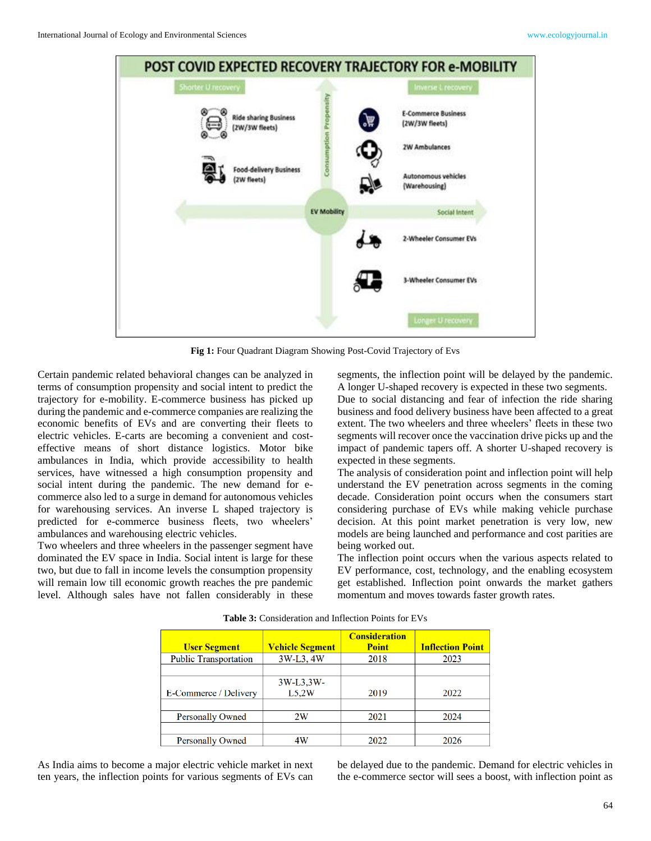

**Fig 1:** Four Quadrant Diagram Showing Post-Covid Trajectory of Evs

Certain pandemic related behavioral changes can be analyzed in terms of consumption propensity and social intent to predict the trajectory for e-mobility. E-commerce business has picked up during the pandemic and e-commerce companies are realizing the economic benefits of EVs and are converting their fleets to electric vehicles. E-carts are becoming a convenient and costeffective means of short distance logistics. Motor bike ambulances in India, which provide accessibility to health services, have witnessed a high consumption propensity and social intent during the pandemic. The new demand for ecommerce also led to a surge in demand for autonomous vehicles for warehousing services. An inverse L shaped trajectory is predicted for e-commerce business fleets, two wheelers' ambulances and warehousing electric vehicles.

Two wheelers and three wheelers in the passenger segment have dominated the EV space in India. Social intent is large for these two, but due to fall in income levels the consumption propensity will remain low till economic growth reaches the pre pandemic level. Although sales have not fallen considerably in these

segments, the inflection point will be delayed by the pandemic. A longer U-shaped recovery is expected in these two segments. Due to social distancing and fear of infection the ride sharing

business and food delivery business have been affected to a great extent. The two wheelers and three wheelers' fleets in these two segments will recover once the vaccination drive picks up and the impact of pandemic tapers off. A shorter U-shaped recovery is expected in these segments.

The analysis of consideration point and inflection point will help understand the EV penetration across segments in the coming decade. Consideration point occurs when the consumers start considering purchase of EVs while making vehicle purchase decision. At this point market penetration is very low, new models are being launched and performance and cost parities are being worked out.

The inflection point occurs when the various aspects related to EV performance, cost, technology, and the enabling ecosystem get established. Inflection point onwards the market gathers momentum and moves towards faster growth rates.

| <b>User Segment</b>          | <b>Vehicle Segment</b> | <b>Consideration</b><br><b>Point</b> | <b>Inflection Point</b> |
|------------------------------|------------------------|--------------------------------------|-------------------------|
| <b>Public Transportation</b> | 3W-L3, 4W              | 2018                                 | 2023                    |
|                              |                        |                                      |                         |
|                              | 3W-L3,3W-              |                                      |                         |
| E-Commerce / Delivery        | L5.2W                  | 2019                                 | 2022                    |
|                              |                        |                                      |                         |
| <b>Personally Owned</b>      | 2W                     | 2021                                 | 2024                    |
|                              |                        |                                      |                         |
| <b>Personally Owned</b>      | 4W                     | 2022                                 | 2026                    |

**Table 3:** Consideration and Inflection Points for EVs

As India aims to become a major electric vehicle market in next ten years, the inflection points for various segments of EVs can be delayed due to the pandemic. Demand for electric vehicles in the e-commerce sector will sees a boost, with inflection point as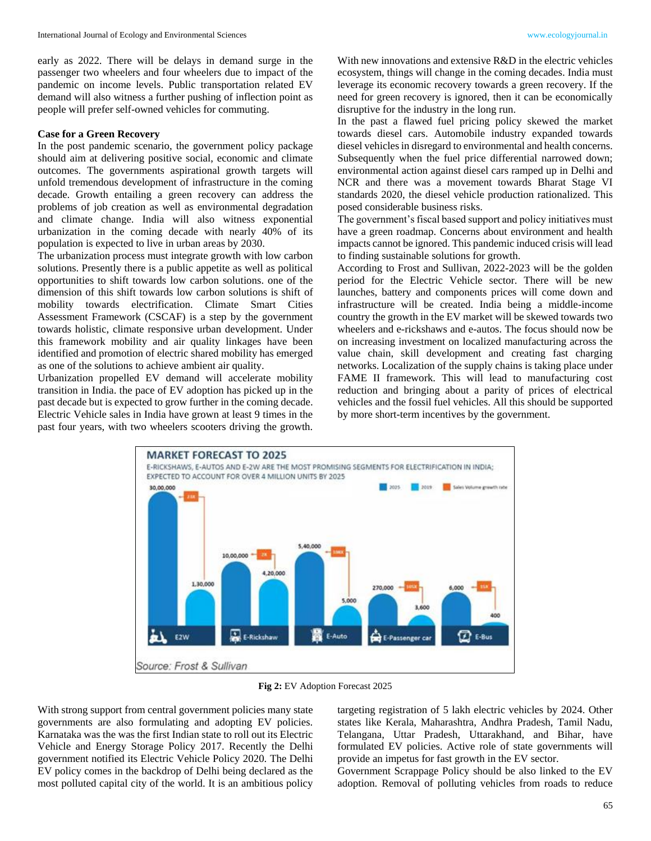early as 2022. There will be delays in demand surge in the passenger two wheelers and four wheelers due to impact of the pandemic on income levels. Public transportation related EV demand will also witness a further pushing of inflection point as people will prefer self-owned vehicles for commuting.

#### **Case for a Green Recovery**

In the post pandemic scenario, the government policy package should aim at delivering positive social, economic and climate outcomes. The governments aspirational growth targets will unfold tremendous development of infrastructure in the coming decade. Growth entailing a green recovery can address the problems of job creation as well as environmental degradation and climate change. India will also witness exponential urbanization in the coming decade with nearly 40% of its population is expected to live in urban areas by 2030.

The urbanization process must integrate growth with low carbon solutions. Presently there is a public appetite as well as political opportunities to shift towards low carbon solutions. one of the dimension of this shift towards low carbon solutions is shift of mobility towards electrification. Climate Smart Cities Assessment Framework (CSCAF) is a step by the government towards holistic, climate responsive urban development. Under this framework mobility and air quality linkages have been identified and promotion of electric shared mobility has emerged as one of the solutions to achieve ambient air quality.

Urbanization propelled EV demand will accelerate mobility transition in India. the pace of EV adoption has picked up in the past decade but is expected to grow further in the coming decade. Electric Vehicle sales in India have grown at least 9 times in the past four years, with two wheelers scooters driving the growth.

With new innovations and extensive R&D in the electric vehicles ecosystem, things will change in the coming decades. India must leverage its economic recovery towards a green recovery. If the need for green recovery is ignored, then it can be economically disruptive for the industry in the long run.

In the past a flawed fuel pricing policy skewed the market towards diesel cars. Automobile industry expanded towards diesel vehicles in disregard to environmental and health concerns. Subsequently when the fuel price differential narrowed down; environmental action against diesel cars ramped up in Delhi and NCR and there was a movement towards Bharat Stage VI standards 2020, the diesel vehicle production rationalized. This posed considerable business risks.

The government's fiscal based support and policy initiatives must have a green roadmap. Concerns about environment and health impacts cannot be ignored. This pandemic induced crisis will lead to finding sustainable solutions for growth.

According to Frost and Sullivan, 2022-2023 will be the golden period for the Electric Vehicle sector. There will be new launches, battery and components prices will come down and infrastructure will be created. India being a middle-income country the growth in the EV market will be skewed towards two wheelers and e-rickshaws and e-autos. The focus should now be on increasing investment on localized manufacturing across the value chain, skill development and creating fast charging networks. Localization of the supply chains is taking place under FAME II framework. This will lead to manufacturing cost reduction and bringing about a parity of prices of electrical vehicles and the fossil fuel vehicles. All this should be supported by more short-term incentives by the government.



**Fig 2:** EV Adoption Forecast 2025

With strong support from central government policies many state governments are also formulating and adopting EV policies. Karnataka was the was the first Indian state to roll out its Electric Vehicle and Energy Storage Policy 2017. Recently the Delhi government notified its Electric Vehicle Policy 2020. The Delhi EV policy comes in the backdrop of Delhi being declared as the most polluted capital city of the world. It is an ambitious policy targeting registration of 5 lakh electric vehicles by 2024. Other states like Kerala, Maharashtra, Andhra Pradesh, Tamil Nadu, Telangana, Uttar Pradesh, Uttarakhand, and Bihar, have formulated EV policies. Active role of state governments will provide an impetus for fast growth in the EV sector.

Government Scrappage Policy should be also linked to the EV adoption. Removal of polluting vehicles from roads to reduce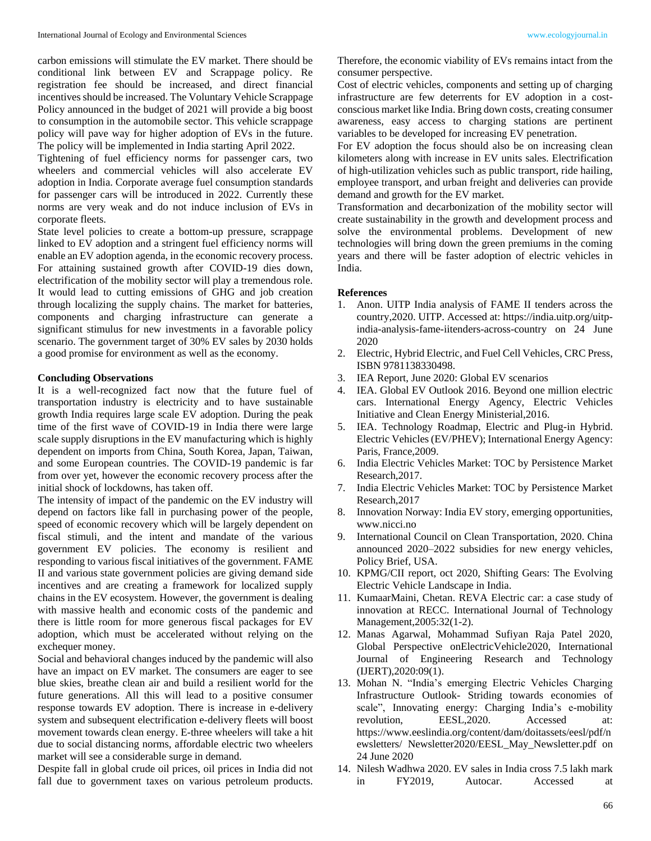carbon emissions will stimulate the EV market. There should be conditional link between EV and Scrappage policy. Re registration fee should be increased, and direct financial incentives should be increased. The Voluntary Vehicle Scrappage Policy announced in the budget of 2021 will provide a big boost to consumption in the automobile sector. This vehicle scrappage policy will pave way for higher adoption of EVs in the future. The policy will be implemented in India starting April 2022.

Tightening of fuel efficiency norms for passenger cars, two wheelers and commercial vehicles will also accelerate EV adoption in India. Corporate average fuel consumption standards for passenger cars will be introduced in 2022. Currently these norms are very weak and do not induce inclusion of EVs in corporate fleets.

State level policies to create a bottom-up pressure, scrappage linked to EV adoption and a stringent fuel efficiency norms will enable an EV adoption agenda, in the economic recovery process. For attaining sustained growth after COVID-19 dies down, electrification of the mobility sector will play a tremendous role. It would lead to cutting emissions of GHG and job creation through localizing the supply chains. The market for batteries, components and charging infrastructure can generate a significant stimulus for new investments in a favorable policy scenario. The government target of 30% EV sales by 2030 holds a good promise for environment as well as the economy.

#### **Concluding Observations**

It is a well-recognized fact now that the future fuel of transportation industry is electricity and to have sustainable growth India requires large scale EV adoption. During the peak time of the first wave of COVID-19 in India there were large scale supply disruptions in the EV manufacturing which is highly dependent on imports from China, South Korea, Japan, Taiwan, and some European countries. The COVID-19 pandemic is far from over yet, however the economic recovery process after the initial shock of lockdowns, has taken off.

The intensity of impact of the pandemic on the EV industry will depend on factors like fall in purchasing power of the people, speed of economic recovery which will be largely dependent on fiscal stimuli, and the intent and mandate of the various government EV policies. The economy is resilient and responding to various fiscal initiatives of the government. FAME II and various state government policies are giving demand side incentives and are creating a framework for localized supply chains in the EV ecosystem. However, the government is dealing with massive health and economic costs of the pandemic and there is little room for more generous fiscal packages for EV adoption, which must be accelerated without relying on the exchequer money.

Social and behavioral changes induced by the pandemic will also have an impact on EV market. The consumers are eager to see blue skies, breathe clean air and build a resilient world for the future generations. All this will lead to a positive consumer response towards EV adoption. There is increase in e-delivery system and subsequent electrification e-delivery fleets will boost movement towards clean energy. E-three wheelers will take a hit due to social distancing norms, affordable electric two wheelers market will see a considerable surge in demand.

Despite fall in global crude oil prices, oil prices in India did not fall due to government taxes on various petroleum products.

Therefore, the economic viability of EVs remains intact from the consumer perspective.

Cost of electric vehicles, components and setting up of charging infrastructure are few deterrents for EV adoption in a costconscious market like India. Bring down costs, creating consumer awareness, easy access to charging stations are pertinent variables to be developed for increasing EV penetration.

For EV adoption the focus should also be on increasing clean kilometers along with increase in EV units sales. Electrification of high-utilization vehicles such as public transport, ride hailing, employee transport, and urban freight and deliveries can provide demand and growth for the EV market.

Transformation and decarbonization of the mobility sector will create sustainability in the growth and development process and solve the environmental problems. Development of new technologies will bring down the green premiums in the coming years and there will be faster adoption of electric vehicles in India.

#### **References**

- 1. Anon. UITP India analysis of FAME II tenders across the country,2020. UITP. Accessed at: https://india.uitp.org/uitpindia-analysis-fame-iitenders-across-country on 24 June 2020
- 2. Electric, Hybrid Electric, and Fuel Cell Vehicles, CRC Press, ISBN 9781138330498.
- 3. IEA Report, June 2020: Global EV scenarios
- 4. IEA. Global EV Outlook 2016. Beyond one million electric cars. International Energy Agency, Electric Vehicles Initiative and Clean Energy Ministerial,2016.
- 5. IEA. Technology Roadmap, Electric and Plug-in Hybrid. Electric Vehicles (EV/PHEV); International Energy Agency: Paris, France,2009.
- 6. India Electric Vehicles Market: TOC by Persistence Market Research,2017.
- 7. India Electric Vehicles Market: TOC by Persistence Market Research,2017
- 8. Innovation Norway: India EV story, emerging opportunities, www.nicci.no
- 9. International Council on Clean Transportation, 2020. China announced 2020–2022 subsidies for new energy vehicles, Policy Brief, USA.
- 10. KPMG/CII report, oct 2020, Shifting Gears: The Evolving Electric Vehicle Landscape in India.
- 11. KumaarMaini, Chetan. REVA Electric car: a case study of innovation at RECC. International Journal of Technology Management,2005:32(1-2).
- 12. Manas Agarwal, Mohammad Sufiyan Raja Patel 2020, Global Perspective onElectricVehicle2020, International Journal of Engineering Research and Technology (IJERT),2020:09(1).
- 13. Mohan N. "India's emerging Electric Vehicles Charging Infrastructure Outlook- Striding towards economies of scale", Innovating energy: Charging India's e-mobility revolution, EESL,2020. Accessed at: https://www.eeslindia.org/content/dam/doitassets/eesl/pdf/n ewsletters/ Newsletter2020/EESL\_May\_Newsletter.pdf on 24 June 2020
- 14. Nilesh Wadhwa 2020. EV sales in India cross 7.5 lakh mark in FY2019, Autocar. Accessed at